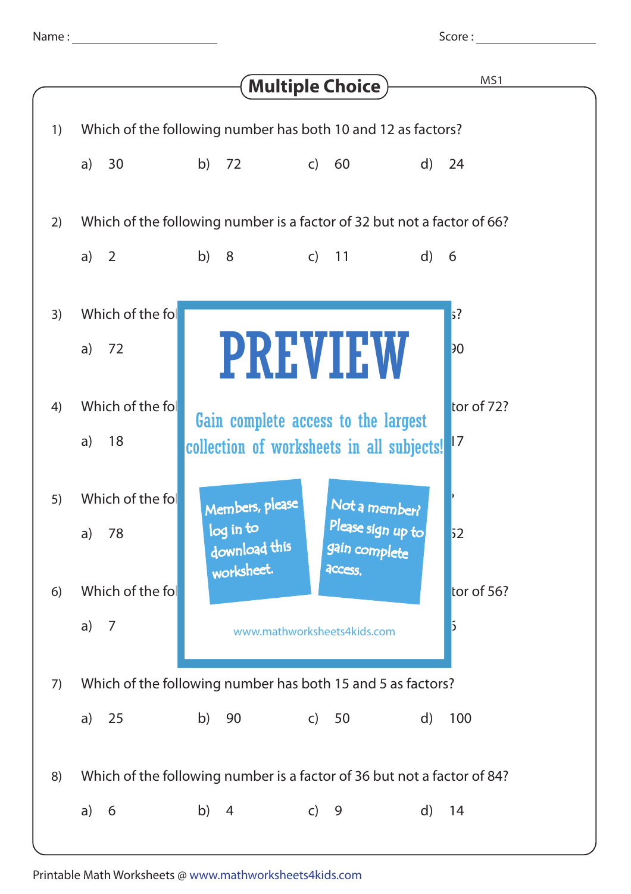